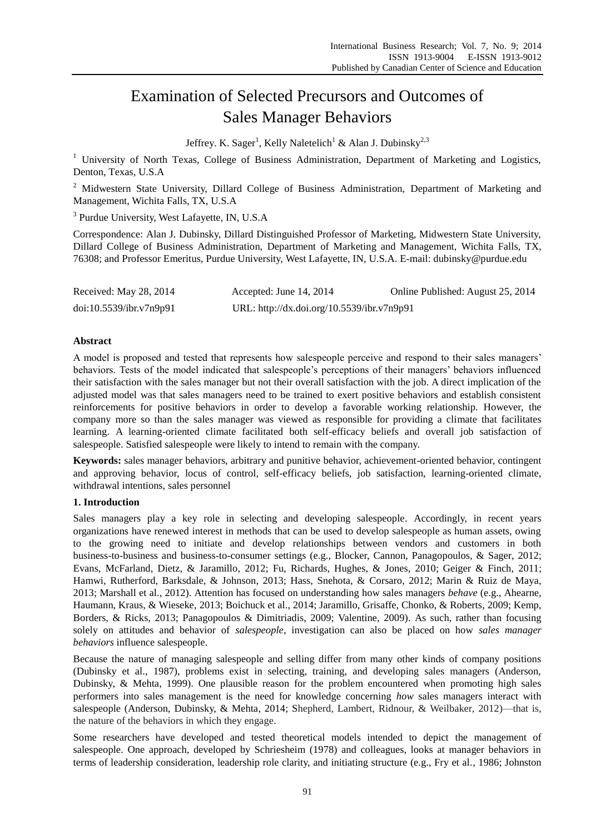# Examination of Selected Precursors and Outcomes of Sales Manager Behaviors

Jeffrey. K. Sager<sup>1</sup>, Kelly Naletelich<sup>1</sup> & Alan J. Dubinsky<sup>2,3</sup>

<sup>1</sup> University of North Texas, College of Business Administration, Department of Marketing and Logistics, Denton, Texas, U.S.A

<sup>2</sup> Midwestern State University, Dillard College of Business Administration, Department of Marketing and Management, Wichita Falls, TX, U.S.A

<sup>3</sup> Purdue University, West Lafayette, IN, U.S.A

Correspondence: Alan J. Dubinsky, Dillard Distinguished Professor of Marketing, Midwestern State University, Dillard College of Business Administration, Department of Marketing and Management, Wichita Falls, TX, 76308; and Professor Emeritus, Purdue University, West Lafayette, IN, U.S.A. E-mail: dubinsky@purdue.edu

| Received: May 28, 2014  | Accepted: June 14, $2014$                  | Online Published: August 25, 2014 |
|-------------------------|--------------------------------------------|-----------------------------------|
| doi:10.5539/ibr.v7n9p91 | URL: http://dx.doi.org/10.5539/ibr.v7n9p91 |                                   |

# **Abstract**

A model is proposed and tested that represents how salespeople perceive and respond to their sales managers' behaviors. Tests of the model indicated that salespeople's perceptions of their managers' behaviors influenced their satisfaction with the sales manager but not their overall satisfaction with the job. A direct implication of the adjusted model was that sales managers need to be trained to exert positive behaviors and establish consistent reinforcements for positive behaviors in order to develop a favorable working relationship. However, the company more so than the sales manager was viewed as responsible for providing a climate that facilitates learning. A learning-oriented climate facilitated both self-efficacy beliefs and overall job satisfaction of salespeople. Satisfied salespeople were likely to intend to remain with the company.

**Keywords:** sales manager behaviors, arbitrary and punitive behavior, achievement-oriented behavior, contingent and approving behavior, locus of control, self-efficacy beliefs, job satisfaction, learning-oriented climate, withdrawal intentions, sales personnel

# **1. Introduction**

Sales managers play a key role in selecting and developing salespeople. Accordingly, in recent years organizations have renewed interest in methods that can be used to develop salespeople as human assets, owing to the growing need to initiate and develop relationships between vendors and customers in both business-to-business and business-to-consumer settings (e.g., Blocker, Cannon, Panagopoulos, & Sager, 2012; Evans, McFarland, Dietz, & Jaramillo, 2012; Fu, Richards, Hughes, & Jones, 2010; Geiger & Finch, 2011; Hamwi, Rutherford, Barksdale, & Johnson, 2013; Hass, Snehota, & Corsaro, 2012; Marin & Ruiz de Maya, 2013; Marshall et al., 2012). Attention has focused on understanding how sales managers *behave* (e.g., Ahearne, Haumann, Kraus, & Wieseke, 2013; Boichuck et al., 2014; Jaramillo, Grisaffe, Chonko, & Roberts, 2009; Kemp, Borders, & Ricks, 2013; Panagopoulos & Dimitriadis, 2009; Valentine, 2009). As such, rather than focusing solely on attitudes and behavior of *salespeople*, investigation can also be placed on how *sales manager behaviors* influence salespeople.

Because the nature of managing salespeople and selling differ from many other kinds of company positions (Dubinsky et al., 1987), problems exist in selecting, training, and developing sales managers (Anderson, Dubinsky, & Mehta, 1999). One plausible reason for the problem encountered when promoting high sales performers into sales management is the need for knowledge concerning *how* sales managers interact with salespeople (Anderson, Dubinsky, & Mehta, 2014; Shepherd, Lambert, Ridnour, & Weilbaker, 2012)—that is, the nature of the behaviors in which they engage.

Some researchers have developed and tested theoretical models intended to depict the management of salespeople. One approach, developed by Schriesheim (1978) and colleagues, looks at manager behaviors in terms of leadership consideration, leadership role clarity, and initiating structure (e.g., Fry et al., 1986; Johnston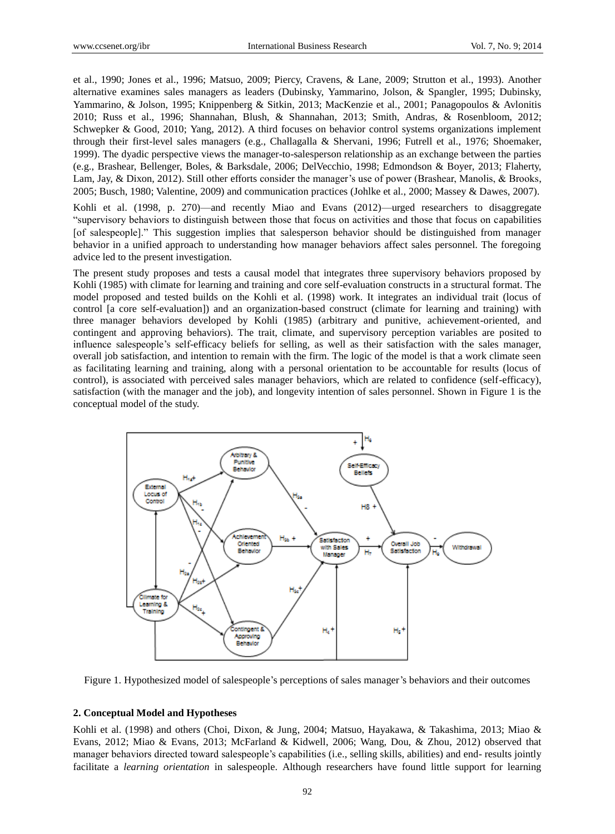et al., 1990; Jones et al., 1996; Matsuo, 2009; Piercy, Cravens, & Lane, 2009; Strutton et al., 1993). Another alternative examines sales managers as leaders (Dubinsky, Yammarino, Jolson, & Spangler, 1995; Dubinsky, Yammarino, & Jolson, 1995; Knippenberg & Sitkin, 2013; MacKenzie et al., 2001; Panagopoulos & Avlonitis 2010; Russ et al., 1996; Shannahan, Blush, & Shannahan, 2013; Smith, Andras, & Rosenbloom, 2012; Schwepker & Good, 2010; Yang, 2012). A third focuses on behavior control systems organizations implement through their first-level sales managers (e.g., Challagalla & Shervani, 1996; Futrell et al., 1976; Shoemaker, 1999). The dyadic perspective views the manager-to-salesperson relationship as an exchange between the parties (e.g., Brashear, Bellenger, Boles, & Barksdale, 2006; DelVecchio, 1998; Edmondson & Boyer, 2013; Flaherty, Lam, Jay, & Dixon, 2012). Still other efforts consider the manager's use of power (Brashear, Manolis, & Brooks, 2005; Busch, 1980; Valentine, 2009) and communication practices (Johlke et al., 2000; Massey & Dawes, 2007).

Kohli et al. (1998, p. 270)—and recently Miao and Evans (2012)—urged researchers to disaggregate ―supervisory behaviors to distinguish between those that focus on activities and those that focus on capabilities [of salespeople].‖ This suggestion implies that salesperson behavior should be distinguished from manager behavior in a unified approach to understanding how manager behaviors affect sales personnel. The foregoing advice led to the present investigation.

The present study proposes and tests a causal model that integrates three supervisory behaviors proposed by Kohli (1985) with climate for learning and training and core self-evaluation constructs in a structural format. The model proposed and tested builds on the Kohli et al. (1998) work. It integrates an individual trait (locus of control [a core self-evaluation]) and an organization-based construct (climate for learning and training) with three manager behaviors developed by Kohli (1985) (arbitrary and punitive, achievement-oriented, and contingent and approving behaviors). The trait, climate, and supervisory perception variables are posited to influence salespeople's self-efficacy beliefs for selling, as well as their satisfaction with the sales manager, overall job satisfaction, and intention to remain with the firm. The logic of the model is that a work climate seen as facilitating learning and training, along with a personal orientation to be accountable for results (locus of control), is associated with perceived sales manager behaviors, which are related to confidence (self-efficacy), satisfaction (with the manager and the job), and longevity intention of sales personnel. Shown in Figure 1 is the conceptual model of the study.



Figure 1. Hypothesized model of salespeople's perceptions of sales manager's behaviors and their outcomes

#### **2. Conceptual Model and Hypotheses**

Kohli et al. (1998) and others (Choi, Dixon, & Jung, 2004; Matsuo, Hayakawa, & Takashima, 2013; Miao & Evans, 2012; Miao & Evans, 2013; McFarland & Kidwell, 2006; Wang, Dou, & Zhou, 2012) observed that manager behaviors directed toward salespeople's capabilities (i.e., selling skills, abilities) and end- results jointly facilitate a *learning orientation* in salespeople. Although researchers have found little support for learning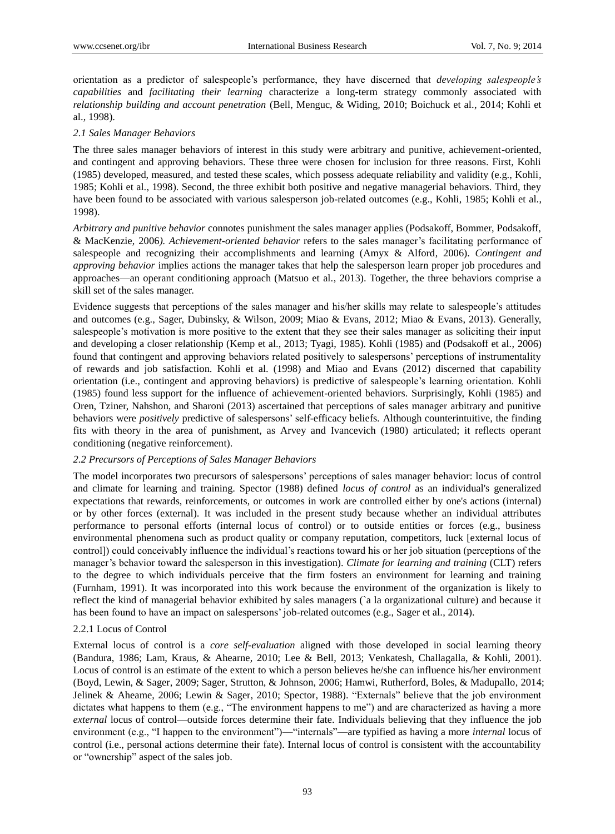orientation as a predictor of salespeople's performance, they have discerned that *developing salespeople's capabilities* and *facilitating their learning* characterize a long-term strategy commonly associated with *relationship building and account penetration* (Bell, Menguc, & Widing, 2010; Boichuck et al., 2014; Kohli et al., 1998).

# *2.1 Sales Manager Behaviors*

The three sales manager behaviors of interest in this study were arbitrary and punitive, achievement-oriented, and contingent and approving behaviors. These three were chosen for inclusion for three reasons. First, Kohli (1985) developed, measured, and tested these scales, which possess adequate reliability and validity (e.g., Kohli, 1985; Kohli et al., 1998). Second, the three exhibit both positive and negative managerial behaviors. Third, they have been found to be associated with various salesperson job-related outcomes (e.g., Kohli, 1985; Kohli et al., 1998).

*Arbitrary and punitive behavior* connotes punishment the sales manager applies (Podsakoff, Bommer, Podsakoff, & MacKenzie, 2006*). Achievement-oriented behavior* refers to the sales manager's facilitating performance of salespeople and recognizing their accomplishments and learning (Amyx & Alford, 2006). *Contingent and approving behavior* implies actions the manager takes that help the salesperson learn proper job procedures and approaches—an operant conditioning approach (Matsuo et al., 2013). Together, the three behaviors comprise a skill set of the sales manager.

Evidence suggests that perceptions of the sales manager and his/her skills may relate to salespeople's attitudes and outcomes (e.g., Sager, Dubinsky, & Wilson, 2009; Miao & Evans, 2012; Miao & Evans, 2013). Generally, salespeople's motivation is more positive to the extent that they see their sales manager as soliciting their input and developing a closer relationship (Kemp et al., 2013; Tyagi, 1985). Kohli (1985) and (Podsakoff et al., 2006) found that contingent and approving behaviors related positively to salespersons' perceptions of instrumentality of rewards and job satisfaction. Kohli et al. (1998) and Miao and Evans (2012) discerned that capability orientation (i.e., contingent and approving behaviors) is predictive of salespeople's learning orientation. Kohli (1985) found less support for the influence of achievement-oriented behaviors. Surprisingly, Kohli (1985) and Oren, Tziner, Nahshon, and Sharoni (2013) ascertained that perceptions of sales manager arbitrary and punitive behaviors were *positively* predictive of salespersons' self-efficacy beliefs. Although counterintuitive, the finding fits with theory in the area of punishment, as Arvey and Ivancevich (1980) articulated; it reflects operant conditioning (negative reinforcement).

## *2.2 Precursors of Perceptions of Sales Manager Behaviors*

The model incorporates two precursors of salespersons' perceptions of sales manager behavior: locus of control and climate for learning and training. Spector (1988) defined *locus of control* as an individual's generalized expectations that rewards, reinforcements, or outcomes in work are controlled either by one's actions (internal) or by other forces (external). It was included in the present study because whether an individual attributes performance to personal efforts (internal locus of control) or to outside entities or forces (e.g., business environmental phenomena such as product quality or company reputation, competitors, luck [external locus of control]) could conceivably influence the individual's reactions toward his or her job situation (perceptions of the manager's behavior toward the salesperson in this investigation). *Climate for learning and training* (CLT) refers to the degree to which individuals perceive that the firm fosters an environment for learning and training (Furnham, 1991). It was incorporated into this work because the environment of the organization is likely to reflect the kind of managerial behavior exhibited by sales managers (`a la organizational culture) and because it has been found to have an impact on salespersons' job-related outcomes (e.g., Sager et al., 2014).

# 2.2.1 Locus of Control

External locus of control is a *core self-evaluation* aligned with those developed in social learning theory (Bandura, 1986; Lam, Kraus, & Ahearne, 2010; Lee & Bell, 2013; Venkatesh, Challagalla, & Kohli, 2001). Locus of control is an estimate of the extent to which a person believes he/she can influence his/her environment (Boyd, Lewin, & Sager, 2009; Sager, Strutton, & Johnson, 2006; Hamwi, Rutherford, Boles, & Madupallo, 2014; Jelinek & Aheame, 2006; Lewin & Sager, 2010; Spector, 1988). "Externals" believe that the job environment dictates what happens to them (e.g., "The environment happens to me") and are characterized as having a more *external* locus of control—outside forces determine their fate. Individuals believing that they influence the job environment (e.g., "I happen to the environment")—"internals"—are typified as having a more *internal* locus of control (i.e., personal actions determine their fate). Internal locus of control is consistent with the accountability or "ownership" aspect of the sales job.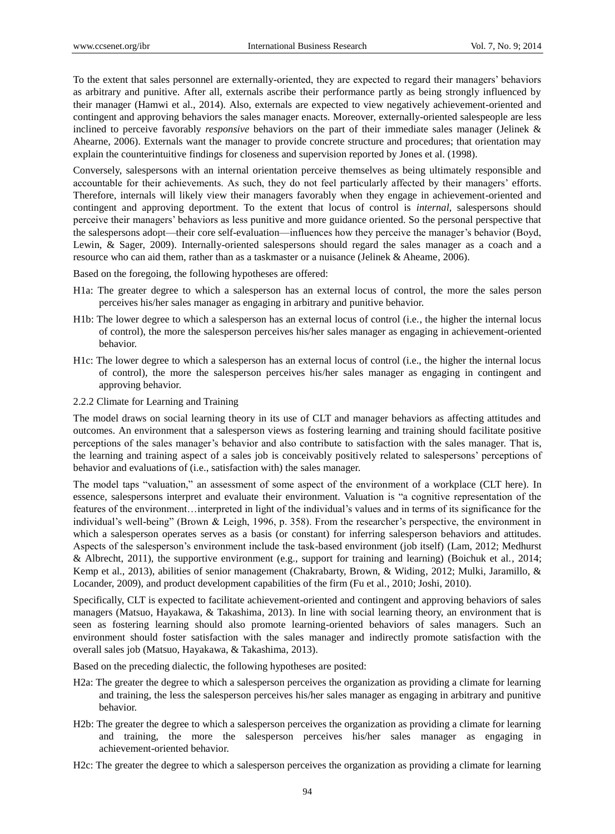To the extent that sales personnel are externally-oriented, they are expected to regard their managers' behaviors as arbitrary and punitive. After all, externals ascribe their performance partly as being strongly influenced by their manager (Hamwi et al., 2014). Also, externals are expected to view negatively achievement-oriented and contingent and approving behaviors the sales manager enacts. Moreover, externally-oriented salespeople are less inclined to perceive favorably *responsive* behaviors on the part of their immediate sales manager (Jelinek & Ahearne, 2006). Externals want the manager to provide concrete structure and procedures; that orientation may explain the counterintuitive findings for closeness and supervision reported by Jones et al. (1998).

Conversely, salespersons with an internal orientation perceive themselves as being ultimately responsible and accountable for their achievements. As such, they do not feel particularly affected by their managers' efforts. Therefore, internals will likely view their managers favorably when they engage in achievement-oriented and contingent and approving deportment. To the extent that locus of control is *internal*, salespersons should perceive their managers' behaviors as less punitive and more guidance oriented. So the personal perspective that the salespersons adopt—their core self-evaluation—influences how they perceive the manager's behavior (Boyd, Lewin, & Sager, 2009). Internally-oriented salespersons should regard the sales manager as a coach and a resource who can aid them, rather than as a taskmaster or a nuisance (Jelinek & Aheame, 2006).

Based on the foregoing, the following hypotheses are offered:

- H1a: The greater degree to which a salesperson has an external locus of control, the more the sales person perceives his/her sales manager as engaging in arbitrary and punitive behavior.
- H1b: The lower degree to which a salesperson has an external locus of control (i.e., the higher the internal locus of control), the more the salesperson perceives his/her sales manager as engaging in achievement-oriented behavior.
- H1c: The lower degree to which a salesperson has an external locus of control (i.e., the higher the internal locus of control), the more the salesperson perceives his/her sales manager as engaging in contingent and approving behavior.
- 2.2.2 Climate for Learning and Training

The model draws on social learning theory in its use of CLT and manager behaviors as affecting attitudes and outcomes. An environment that a salesperson views as fostering learning and training should facilitate positive perceptions of the sales manager's behavior and also contribute to satisfaction with the sales manager. That is, the learning and training aspect of a sales job is conceivably positively related to salespersons' perceptions of behavior and evaluations of (i.e., satisfaction with) the sales manager.

The model taps "valuation," an assessment of some aspect of the environment of a workplace (CLT here). In essence, salespersons interpret and evaluate their environment. Valuation is "a cognitive representation of the features of the environment…interpreted in light of the individual's values and in terms of its significance for the individual's well-being" (Brown & Leigh, 1996, p. 358). From the researcher's perspective, the environment in which a salesperson operates serves as a basis (or constant) for inferring salesperson behaviors and attitudes. Aspects of the salesperson's environment include the task-based environment (job itself) (Lam, 2012; Medhurst & Albrecht, 2011), the supportive environment (e.g., support for training and learning) (Boichuk et al., 2014; Kemp et al., 2013), abilities of senior management (Chakrabarty, Brown, & Widing, 2012; Mulki, Jaramillo, & Locander, 2009), and product development capabilities of the firm (Fu et al., 2010; Joshi, 2010).

Specifically, CLT is expected to facilitate achievement-oriented and contingent and approving behaviors of sales managers (Matsuo, Hayakawa, & Takashima, 2013). In line with social learning theory, an environment that is seen as fostering learning should also promote learning-oriented behaviors of sales managers. Such an environment should foster satisfaction with the sales manager and indirectly promote satisfaction with the overall sales job (Matsuo, Hayakawa, & Takashima, 2013).

Based on the preceding dialectic, the following hypotheses are posited:

- H2a: The greater the degree to which a salesperson perceives the organization as providing a climate for learning and training, the less the salesperson perceives his/her sales manager as engaging in arbitrary and punitive behavior.
- H2b: The greater the degree to which a salesperson perceives the organization as providing a climate for learning and training, the more the salesperson perceives his/her sales manager as engaging in achievement-oriented behavior.
- H2c: The greater the degree to which a salesperson perceives the organization as providing a climate for learning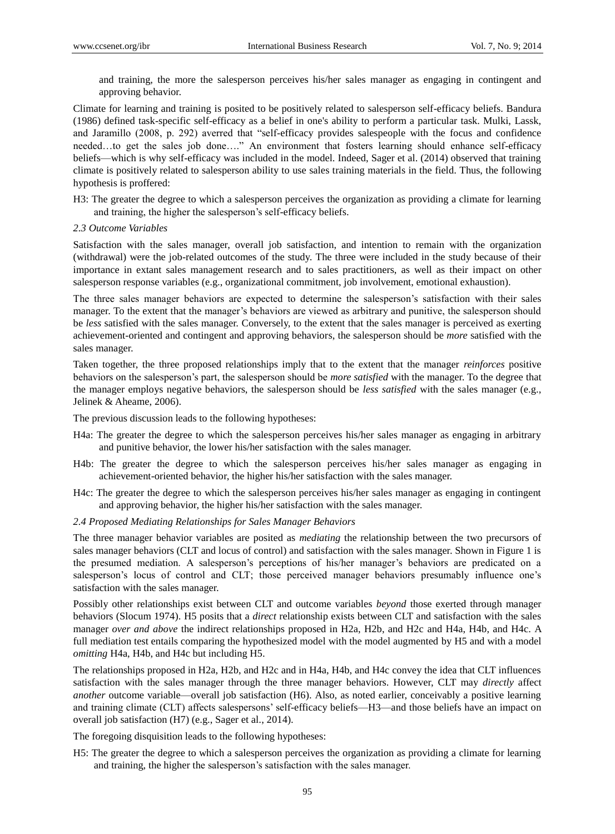and training, the more the salesperson perceives his/her sales manager as engaging in contingent and approving behavior.

Climate for learning and training is posited to be positively related to salesperson self-efficacy beliefs. Bandura (1986) defined task-specific self-efficacy as a belief in one's ability to perform a particular task. Mulki, Lassk, and Jaramillo (2008, p. 292) averred that "self-efficacy provides salespeople with the focus and confidence needed...to get the sales job done...." An environment that fosters learning should enhance self-efficacy beliefs—which is why self-efficacy was included in the model. Indeed, Sager et al. (2014) observed that training climate is positively related to salesperson ability to use sales training materials in the field. Thus, the following hypothesis is proffered:

H3: The greater the degree to which a salesperson perceives the organization as providing a climate for learning and training, the higher the salesperson's self-efficacy beliefs.

## *2.3 Outcome Variables*

Satisfaction with the sales manager, overall job satisfaction, and intention to remain with the organization (withdrawal) were the job-related outcomes of the study. The three were included in the study because of their importance in extant sales management research and to sales practitioners, as well as their impact on other salesperson response variables (e.g., organizational commitment, job involvement, emotional exhaustion).

The three sales manager behaviors are expected to determine the salesperson's satisfaction with their sales manager. To the extent that the manager's behaviors are viewed as arbitrary and punitive, the salesperson should be *less* satisfied with the sales manager. Conversely, to the extent that the sales manager is perceived as exerting achievement-oriented and contingent and approving behaviors, the salesperson should be *more* satisfied with the sales manager.

Taken together, the three proposed relationships imply that to the extent that the manager *reinforces* positive behaviors on the salesperson's part, the salesperson should be *more satisfied* with the manager. To the degree that the manager employs negative behaviors, the salesperson should be *less satisfied* with the sales manager (e.g., Jelinek & Aheame, 2006).

The previous discussion leads to the following hypotheses:

- H4a: The greater the degree to which the salesperson perceives his/her sales manager as engaging in arbitrary and punitive behavior, the lower his/her satisfaction with the sales manager.
- H4b: The greater the degree to which the salesperson perceives his/her sales manager as engaging in achievement-oriented behavior, the higher his/her satisfaction with the sales manager.
- H4c: The greater the degree to which the salesperson perceives his/her sales manager as engaging in contingent and approving behavior, the higher his/her satisfaction with the sales manager.

## *2.4 Proposed Mediating Relationships for Sales Manager Behaviors*

The three manager behavior variables are posited as *mediating* the relationship between the two precursors of sales manager behaviors (CLT and locus of control) and satisfaction with the sales manager. Shown in Figure 1 is the presumed mediation. A salesperson's perceptions of his/her manager's behaviors are predicated on a salesperson's locus of control and CLT; those perceived manager behaviors presumably influence one's satisfaction with the sales manager.

Possibly other relationships exist between CLT and outcome variables *beyond* those exerted through manager behaviors (Slocum 1974). H5 posits that a *direct* relationship exists between CLT and satisfaction with the sales manager *over and above* the indirect relationships proposed in H2a, H2b, and H2c and H4a, H4b, and H4c. A full mediation test entails comparing the hypothesized model with the model augmented by H5 and with a model *omitting* H4a, H4b, and H4c but including H5.

The relationships proposed in H2a, H2b, and H2c and in H4a, H4b, and H4c convey the idea that CLT influences satisfaction with the sales manager through the three manager behaviors. However, CLT may *directly* affect *another* outcome variable—overall job satisfaction (H6). Also, as noted earlier, conceivably a positive learning and training climate (CLT) affects salespersons' self-efficacy beliefs—H3—and those beliefs have an impact on overall job satisfaction (H7) (e.g., Sager et al., 2014).

The foregoing disquisition leads to the following hypotheses:

H5: The greater the degree to which a salesperson perceives the organization as providing a climate for learning and training, the higher the salesperson's satisfaction with the sales manager.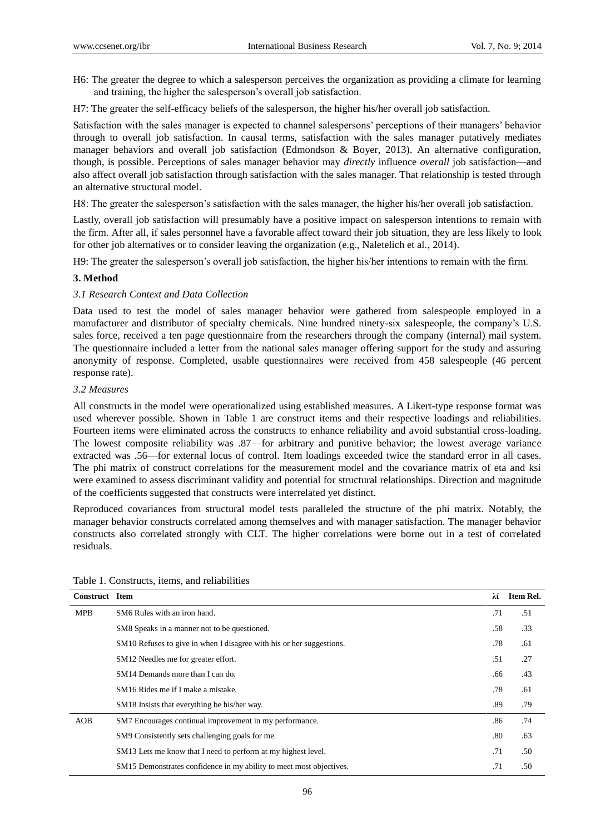- H6: The greater the degree to which a salesperson perceives the organization as providing a climate for learning and training, the higher the salesperson's overall job satisfaction.
- H7: The greater the self-efficacy beliefs of the salesperson, the higher his/her overall job satisfaction.

Satisfaction with the sales manager is expected to channel salespersons' perceptions of their managers' behavior through to overall job satisfaction. In causal terms, satisfaction with the sales manager putatively mediates manager behaviors and overall job satisfaction (Edmondson & Boyer, 2013). An alternative configuration, though, is possible. Perceptions of sales manager behavior may *directly* influence *overall* job satisfaction—and also affect overall job satisfaction through satisfaction with the sales manager. That relationship is tested through an alternative structural model.

H8: The greater the salesperson's satisfaction with the sales manager, the higher his/her overall job satisfaction.

Lastly, overall job satisfaction will presumably have a positive impact on salesperson intentions to remain with the firm. After all, if sales personnel have a favorable affect toward their job situation, they are less likely to look for other job alternatives or to consider leaving the organization (e.g., Naletelich et al., 2014).

H9: The greater the salesperson's overall job satisfaction, the higher his/her intentions to remain with the firm.

# **3. Method**

# *3.1 Research Context and Data Collection*

Data used to test the model of sales manager behavior were gathered from salespeople employed in a manufacturer and distributor of specialty chemicals. Nine hundred ninety-six salespeople, the company's U.S. sales force, received a ten page questionnaire from the researchers through the company (internal) mail system. The questionnaire included a letter from the national sales manager offering support for the study and assuring anonymity of response. Completed, usable questionnaires were received from 458 salespeople (46 percent response rate).

# *3.2 Measures*

All constructs in the model were operationalized using established measures. A Likert-type response format was used wherever possible. Shown in Table 1 are construct items and their respective loadings and reliabilities. Fourteen items were eliminated across the constructs to enhance reliability and avoid substantial cross-loading. The lowest composite reliability was .87—for arbitrary and punitive behavior; the lowest average variance extracted was .56—for external locus of control. Item loadings exceeded twice the standard error in all cases. The phi matrix of construct correlations for the measurement model and the covariance matrix of eta and ksi were examined to assess discriminant validity and potential for structural relationships. Direction and magnitude of the coefficients suggested that constructs were interrelated yet distinct.

Reproduced covariances from structural model tests paralleled the structure of the phi matrix. Notably, the manager behavior constructs correlated among themselves and with manager satisfaction. The manager behavior constructs also correlated strongly with CLT. The higher correlations were borne out in a test of correlated residuals.

| <b>Construct Item</b> |                                                                      | λí  | Item Rel. |
|-----------------------|----------------------------------------------------------------------|-----|-----------|
| <b>MPB</b>            | SM6 Rules with an iron hand.                                         | .71 | .51       |
|                       | SM8 Speaks in a manner not to be questioned.                         | .58 | .33       |
|                       | SM10 Refuses to give in when I disagree with his or her suggestions. | .78 | .61       |
|                       | SM12 Needles me for greater effort.                                  | .51 | .27       |
|                       | SM14 Demands more than I can do.                                     | .66 | .43       |
|                       | SM <sub>16</sub> Rides me if I make a mistake.                       | .78 | .61       |
|                       | SM18 Insists that everything be his/her way.                         | .89 | .79       |
| AOB                   | SM7 Encourages continual improvement in my performance.              | .86 | .74       |
|                       | SM9 Consistently sets challenging goals for me.                      | .80 | .63       |
|                       | SM13 Lets me know that I need to perform at my highest level.        | .71 | .50       |
|                       | SM15 Demonstrates confidence in my ability to meet most objectives.  | .71 | .50       |

| Table 1. Constructs, items, and reliabilities |  |  |  |
|-----------------------------------------------|--|--|--|
|-----------------------------------------------|--|--|--|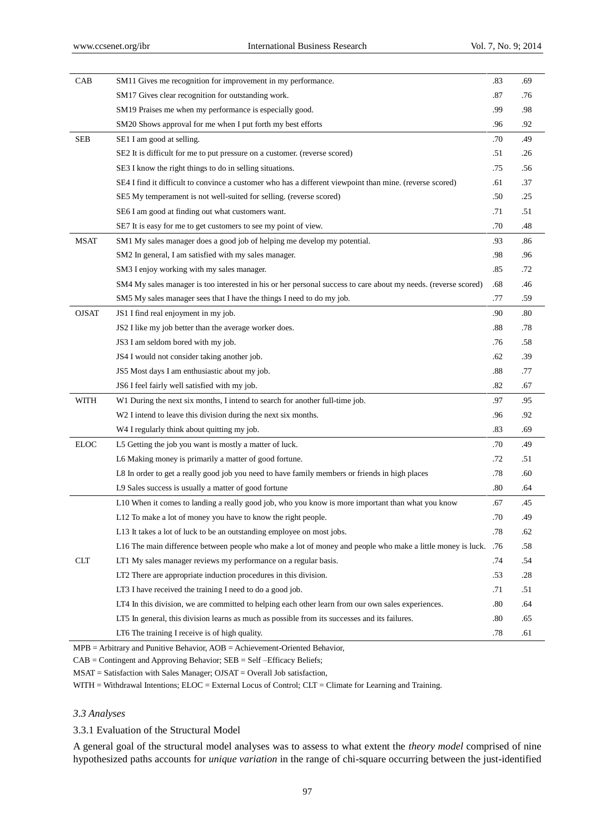| SM11 Gives me recognition for improvement in my performance.<br>CAB                                            | .83     | .69 |
|----------------------------------------------------------------------------------------------------------------|---------|-----|
| SM17 Gives clear recognition for outstanding work.                                                             | .87     | .76 |
| SM19 Praises me when my performance is especially good.                                                        | .99     | .98 |
| SM20 Shows approval for me when I put forth my best efforts                                                    | .96     | .92 |
| <b>SEB</b><br>SE1 I am good at selling.                                                                        | .70     | .49 |
| SE2 It is difficult for me to put pressure on a customer. (reverse scored)                                     | .51     | .26 |
| SE3 I know the right things to do in selling situations.                                                       | .75     | .56 |
| SE4 I find it difficult to convince a customer who has a different viewpoint than mine. (reverse scored)       | .61     | .37 |
| SE5 My temperament is not well-suited for selling. (reverse scored)                                            | .50     | .25 |
| SE6 I am good at finding out what customers want.                                                              | .71     | .51 |
| SE7 It is easy for me to get customers to see my point of view.                                                | .70     | .48 |
| <b>MSAT</b><br>SM1 My sales manager does a good job of helping me develop my potential.                        | .93     | .86 |
| SM2 In general, I am satisfied with my sales manager.                                                          | .98     | .96 |
| SM3 I enjoy working with my sales manager.                                                                     | .85     | .72 |
| SM4 My sales manager is too interested in his or her personal success to care about my needs. (reverse scored) | .68     | .46 |
| SM5 My sales manager sees that I have the things I need to do my job.                                          | .77     | .59 |
| <b>OJSAT</b><br>JS1 I find real enjoyment in my job.                                                           | .90     | .80 |
| JS2 I like my job better than the average worker does.                                                         | .88     | .78 |
| JS3 I am seldom bored with my job.                                                                             | .76     | .58 |
| JS4 I would not consider taking another job.                                                                   | .62     | .39 |
| JS5 Most days I am enthusiastic about my job.                                                                  | .88     | .77 |
| JS6 I feel fairly well satisfied with my job.                                                                  | .82     | .67 |
| WITH<br>W1 During the next six months, I intend to search for another full-time job.                           | .97     | .95 |
| W2 I intend to leave this division during the next six months.                                                 | .96     | .92 |
| W4 I regularly think about quitting my job.                                                                    | .83     | .69 |
| <b>ELOC</b><br>L5 Getting the job you want is mostly a matter of luck.                                         | .70     | .49 |
| L6 Making money is primarily a matter of good fortune.                                                         | .72     | .51 |
| L8 In order to get a really good job you need to have family members or friends in high places                 | .78     | .60 |
| L9 Sales success is usually a matter of good fortune                                                           | $.80\,$ | .64 |
| L10 When it comes to landing a really good job, who you know is more important than what you know              | .67     | .45 |
| L12 To make a lot of money you have to know the right people.                                                  | .70     | .49 |
| L13 It takes a lot of luck to be an outstanding employee on most jobs.                                         | .78     | .62 |
| 16. The main difference between people who make a lot of money and people who make a little money is luck. .76 |         | .58 |
| CLT<br>LT1 My sales manager reviews my performance on a regular basis.                                         | .74     | .54 |
| LT2 There are appropriate induction procedures in this division.                                               | .53     | .28 |
| LT3 I have received the training I need to do a good job.                                                      | .71     | .51 |
| LT4 In this division, we are committed to helping each other learn from our own sales experiences.             | .80     | .64 |
| LT5 In general, this division learns as much as possible from its successes and its failures.                  | .80     | .65 |
| LT6 The training I receive is of high quality.                                                                 | .78     | .61 |

MPB = Arbitrary and Punitive Behavior, AOB = Achievement-Oriented Behavior,

CAB = Contingent and Approving Behavior; SEB = Self –Efficacy Beliefs;

MSAT = Satisfaction with Sales Manager; OJSAT = Overall Job satisfaction,

WITH = Withdrawal Intentions; ELOC = External Locus of Control; CLT = Climate for Learning and Training.

## *3.3 Analyses*

3.3.1 Evaluation of the Structural Model

A general goal of the structural model analyses was to assess to what extent the *theory model* comprised of nine hypothesized paths accounts for *unique variation* in the range of chi-square occurring between the just-identified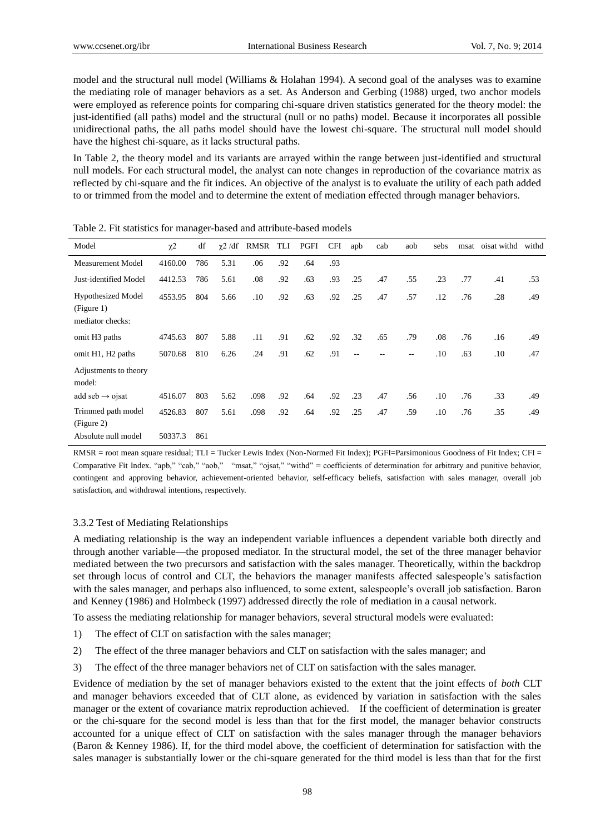model and the structural null model (Williams & Holahan 1994). A second goal of the analyses was to examine the mediating role of manager behaviors as a set. As Anderson and Gerbing (1988) urged, two anchor models were employed as reference points for comparing chi-square driven statistics generated for the theory model: the just-identified (all paths) model and the structural (null or no paths) model. Because it incorporates all possible unidirectional paths, the all paths model should have the lowest chi-square. The structural null model should have the highest chi-square, as it lacks structural paths.

In Table 2, the theory model and its variants are arrayed within the range between just-identified and structural null models. For each structural model, the analyst can note changes in reproduction of the covariance matrix as reflected by chi-square and the fit indices. An objective of the analyst is to evaluate the utility of each path added to or trimmed from the model and to determine the extent of mediation effected through manager behaviors.

| Model                                                       | $\chi$ <sup>2</sup> | df  | $\chi$ 2 /df | RMSR | TLI | PGFI | <b>CFI</b> | apb | cab | aob | sebs    | msat | oisat withd | withd |
|-------------------------------------------------------------|---------------------|-----|--------------|------|-----|------|------------|-----|-----|-----|---------|------|-------------|-------|
| <b>Measurement Model</b>                                    | 4160.00             | 786 | 5.31         | .06  | .92 | .64  | .93        |     |     |     |         |      |             |       |
| Just-identified Model                                       | 4412.53             | 786 | 5.61         | .08  | .92 | .63  | .93        | .25 | .47 | .55 | .23     | .77  | .41         | .53   |
| <b>Hypothesized Model</b><br>(Figure 1)<br>mediator checks: | 4553.95             | 804 | 5.66         | .10  | .92 | .63  | .92        | .25 | .47 | .57 | .12     | .76  | .28         | .49   |
| omit H <sub>3</sub> paths                                   | 4745.63             | 807 | 5.88         | .11  | .91 | .62  | .92        | .32 | .65 | .79 | .08     | .76  | .16         | .49   |
| omit H1, H2 paths                                           | 5070.68             | 810 | 6.26         | .24  | .91 | .62  | .91        | --  |     | $-$ | .10     | .63  | .10         | .47   |
| Adjustments to theory<br>model:                             |                     |     |              |      |     |      |            |     |     |     |         |      |             |       |
| add seb $\rightarrow$ ojsat                                 | 4516.07             | 803 | 5.62         | .098 | .92 | .64  | .92        | .23 | .47 | .56 | .10     | .76  | .33         | .49   |
| Trimmed path model<br>(Figure 2)                            | 4526.83             | 807 | 5.61         | .098 | .92 | .64  | .92        | .25 | .47 | .59 | $.10\,$ | .76  | .35         | .49   |
| Absolute null model                                         | 50337.3             | 861 |              |      |     |      |            |     |     |     |         |      |             |       |

Table 2. Fit statistics for manager-based and attribute-based models

RMSR = root mean square residual; TLI = Tucker Lewis Index (Non-Normed Fit Index); PGFI=Parsimonious Goodness of Fit Index; CFI = Comparative Fit Index. "apb," "cab," "aob," "msat," "ojsat," "withd" = coefficients of determination for arbitrary and punitive behavior, contingent and approving behavior, achievement-oriented behavior, self-efficacy beliefs, satisfaction with sales manager, overall job satisfaction, and withdrawal intentions, respectively.

## 3.3.2 Test of Mediating Relationships

A mediating relationship is the way an independent variable influences a dependent variable both directly and through another variable—the proposed mediator. In the structural model, the set of the three manager behavior mediated between the two precursors and satisfaction with the sales manager. Theoretically, within the backdrop set through locus of control and CLT, the behaviors the manager manifests affected salespeople's satisfaction with the sales manager, and perhaps also influenced, to some extent, salespeople's overall job satisfaction. Baron and Kenney (1986) and Holmbeck (1997) addressed directly the role of mediation in a causal network.

To assess the mediating relationship for manager behaviors, several structural models were evaluated:

- 1) The effect of CLT on satisfaction with the sales manager;
- 2) The effect of the three manager behaviors and CLT on satisfaction with the sales manager; and
- 3) The effect of the three manager behaviors net of CLT on satisfaction with the sales manager.

Evidence of mediation by the set of manager behaviors existed to the extent that the joint effects of *both* CLT and manager behaviors exceeded that of CLT alone, as evidenced by variation in satisfaction with the sales manager or the extent of covariance matrix reproduction achieved. If the coefficient of determination is greater or the chi-square for the second model is less than that for the first model, the manager behavior constructs accounted for a unique effect of CLT on satisfaction with the sales manager through the manager behaviors (Baron & Kenney 1986). If, for the third model above, the coefficient of determination for satisfaction with the sales manager is substantially lower or the chi-square generated for the third model is less than that for the first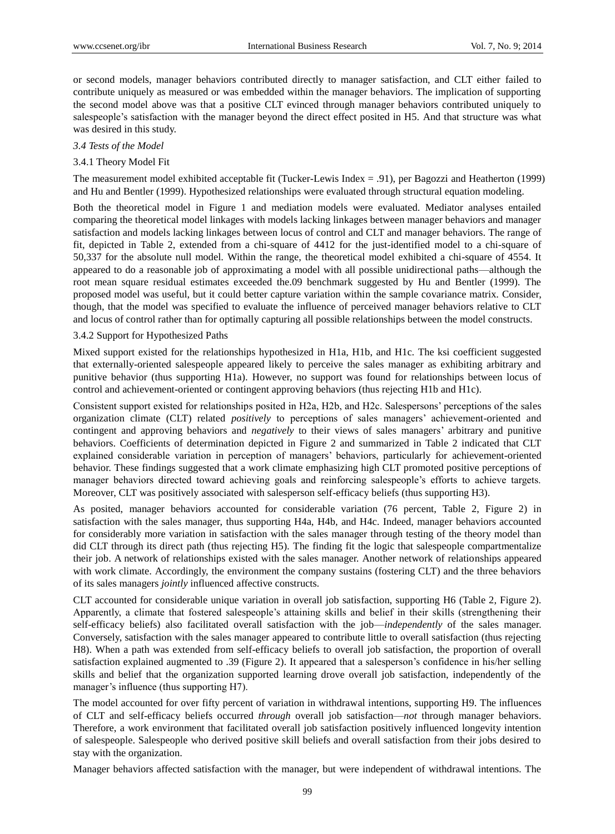or second models, manager behaviors contributed directly to manager satisfaction, and CLT either failed to contribute uniquely as measured or was embedded within the manager behaviors. The implication of supporting the second model above was that a positive CLT evinced through manager behaviors contributed uniquely to salespeople's satisfaction with the manager beyond the direct effect posited in H5. And that structure was what was desired in this study.

#### *3.4 Tests of the Model*

#### 3.4.1 Theory Model Fit

The measurement model exhibited acceptable fit (Tucker-Lewis Index = .91), per Bagozzi and Heatherton (1999) and Hu and Bentler (1999). Hypothesized relationships were evaluated through structural equation modeling.

Both the theoretical model in Figure 1 and mediation models were evaluated. Mediator analyses entailed comparing the theoretical model linkages with models lacking linkages between manager behaviors and manager satisfaction and models lacking linkages between locus of control and CLT and manager behaviors. The range of fit, depicted in Table 2, extended from a chi-square of 4412 for the just-identified model to a chi-square of 50,337 for the absolute null model. Within the range, the theoretical model exhibited a chi-square of 4554. It appeared to do a reasonable job of approximating a model with all possible unidirectional paths—although the root mean square residual estimates exceeded the.09 benchmark suggested by Hu and Bentler (1999). The proposed model was useful, but it could better capture variation within the sample covariance matrix. Consider, though, that the model was specified to evaluate the influence of perceived manager behaviors relative to CLT and locus of control rather than for optimally capturing all possible relationships between the model constructs.

#### 3.4.2 Support for Hypothesized Paths

Mixed support existed for the relationships hypothesized in H1a, H1b, and H1c. The ksi coefficient suggested that externally-oriented salespeople appeared likely to perceive the sales manager as exhibiting arbitrary and punitive behavior (thus supporting H1a). However, no support was found for relationships between locus of control and achievement-oriented or contingent approving behaviors (thus rejecting H1b and H1c).

Consistent support existed for relationships posited in H2a, H2b, and H2c. Salespersons' perceptions of the sales organization climate (CLT) related *positively* to perceptions of sales managers' achievement-oriented and contingent and approving behaviors and *negatively* to their views of sales managers' arbitrary and punitive behaviors. Coefficients of determination depicted in Figure 2 and summarized in Table 2 indicated that CLT explained considerable variation in perception of managers' behaviors, particularly for achievement-oriented behavior. These findings suggested that a work climate emphasizing high CLT promoted positive perceptions of manager behaviors directed toward achieving goals and reinforcing salespeople's efforts to achieve targets. Moreover, CLT was positively associated with salesperson self-efficacy beliefs (thus supporting H3).

As posited, manager behaviors accounted for considerable variation (76 percent, Table 2, Figure 2) in satisfaction with the sales manager, thus supporting H4a, H4b, and H4c. Indeed, manager behaviors accounted for considerably more variation in satisfaction with the sales manager through testing of the theory model than did CLT through its direct path (thus rejecting H5). The finding fit the logic that salespeople compartmentalize their job. A network of relationships existed with the sales manager. Another network of relationships appeared with work climate. Accordingly, the environment the company sustains (fostering CLT) and the three behaviors of its sales managers *jointly* influenced affective constructs.

CLT accounted for considerable unique variation in overall job satisfaction, supporting H6 (Table 2, Figure 2). Apparently, a climate that fostered salespeople's attaining skills and belief in their skills (strengthening their self-efficacy beliefs) also facilitated overall satisfaction with the job—*independently* of the sales manager. Conversely, satisfaction with the sales manager appeared to contribute little to overall satisfaction (thus rejecting H8). When a path was extended from self-efficacy beliefs to overall job satisfaction, the proportion of overall satisfaction explained augmented to .39 (Figure 2). It appeared that a salesperson's confidence in his/her selling skills and belief that the organization supported learning drove overall job satisfaction, independently of the manager's influence (thus supporting H7).

The model accounted for over fifty percent of variation in withdrawal intentions, supporting H9. The influences of CLT and self-efficacy beliefs occurred *through* overall job satisfaction—*not* through manager behaviors. Therefore, a work environment that facilitated overall job satisfaction positively influenced longevity intention of salespeople. Salespeople who derived positive skill beliefs and overall satisfaction from their jobs desired to stay with the organization.

Manager behaviors affected satisfaction with the manager, but were independent of withdrawal intentions. The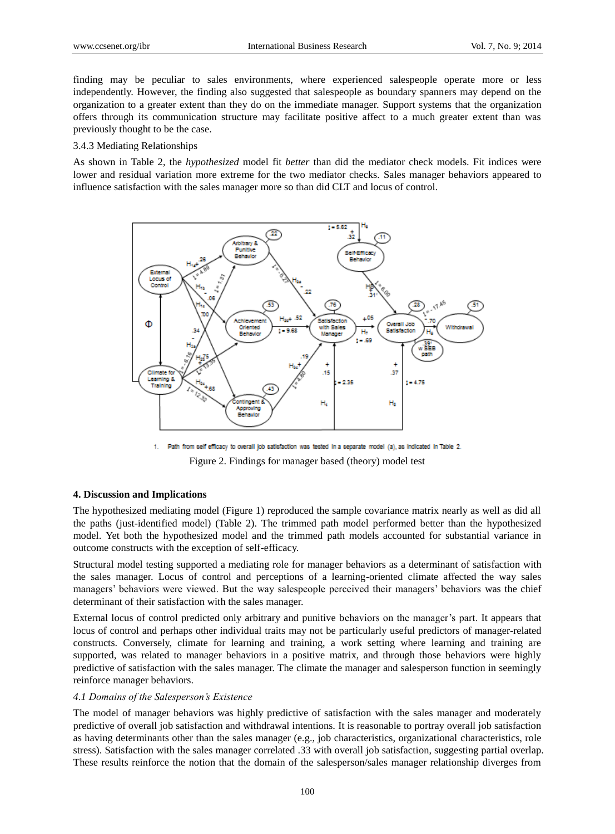finding may be peculiar to sales environments, where experienced salespeople operate more or less independently. However, the finding also suggested that salespeople as boundary spanners may depend on the organization to a greater extent than they do on the immediate manager. Support systems that the organization offers through its communication structure may facilitate positive affect to a much greater extent than was previously thought to be the case.

## 3.4.3 Mediating Relationships

As shown in Table 2, the *hypothesized* model fit *better* than did the mediator check models. Fit indices were lower and residual variation more extreme for the two mediator checks. Sales manager behaviors appeared to influence satisfaction with the sales manager more so than did CLT and locus of control.



1. Path from self efficacy to overall job satisfaction was tested in a separate model (a), as indicated in Table 2. Figure 2. Findings for manager based (theory) model test

## **4. Discussion and Implications**

The hypothesized mediating model (Figure 1) reproduced the sample covariance matrix nearly as well as did all the paths (just-identified model) (Table 2). The trimmed path model performed better than the hypothesized model. Yet both the hypothesized model and the trimmed path models accounted for substantial variance in outcome constructs with the exception of self-efficacy.

Structural model testing supported a mediating role for manager behaviors as a determinant of satisfaction with the sales manager. Locus of control and perceptions of a learning-oriented climate affected the way sales managers' behaviors were viewed. But the way salespeople perceived their managers' behaviors was the chief determinant of their satisfaction with the sales manager.

External locus of control predicted only arbitrary and punitive behaviors on the manager's part. It appears that locus of control and perhaps other individual traits may not be particularly useful predictors of manager-related constructs. Conversely, climate for learning and training, a work setting where learning and training are supported, was related to manager behaviors in a positive matrix, and through those behaviors were highly predictive of satisfaction with the sales manager. The climate the manager and salesperson function in seemingly reinforce manager behaviors.

## *4.1 Domains of the Salesperson's Existence*

The model of manager behaviors was highly predictive of satisfaction with the sales manager and moderately predictive of overall job satisfaction and withdrawal intentions. It is reasonable to portray overall job satisfaction as having determinants other than the sales manager (e.g., job characteristics, organizational characteristics, role stress). Satisfaction with the sales manager correlated .33 with overall job satisfaction, suggesting partial overlap. These results reinforce the notion that the domain of the salesperson/sales manager relationship diverges from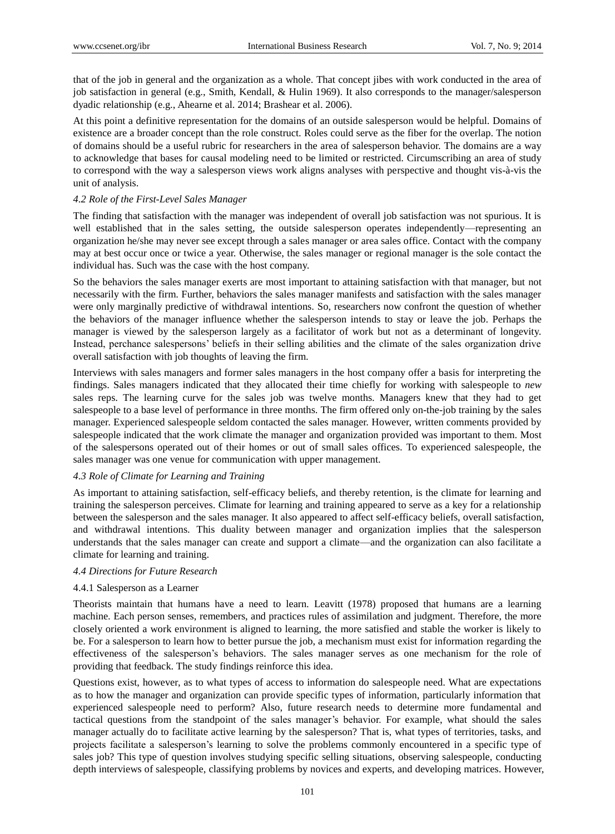that of the job in general and the organization as a whole. That concept jibes with work conducted in the area of job satisfaction in general (e.g., Smith, Kendall, & Hulin 1969). It also corresponds to the manager/salesperson dyadic relationship (e.g., Ahearne et al. 2014; Brashear et al. 2006).

At this point a definitive representation for the domains of an outside salesperson would be helpful. Domains of existence are a broader concept than the role construct. Roles could serve as the fiber for the overlap. The notion of domains should be a useful rubric for researchers in the area of salesperson behavior. The domains are a way to acknowledge that bases for causal modeling need to be limited or restricted. Circumscribing an area of study to correspond with the way a salesperson views work aligns analyses with perspective and thought vis-à-vis the unit of analysis.

## *4.2 Role of the First-Level Sales Manager*

The finding that satisfaction with the manager was independent of overall job satisfaction was not spurious. It is well established that in the sales setting, the outside salesperson operates independently—representing an organization he/she may never see except through a sales manager or area sales office. Contact with the company may at best occur once or twice a year. Otherwise, the sales manager or regional manager is the sole contact the individual has. Such was the case with the host company.

So the behaviors the sales manager exerts are most important to attaining satisfaction with that manager, but not necessarily with the firm. Further, behaviors the sales manager manifests and satisfaction with the sales manager were only marginally predictive of withdrawal intentions. So, researchers now confront the question of whether the behaviors of the manager influence whether the salesperson intends to stay or leave the job. Perhaps the manager is viewed by the salesperson largely as a facilitator of work but not as a determinant of longevity. Instead, perchance salespersons' beliefs in their selling abilities and the climate of the sales organization drive overall satisfaction with job thoughts of leaving the firm.

Interviews with sales managers and former sales managers in the host company offer a basis for interpreting the findings. Sales managers indicated that they allocated their time chiefly for working with salespeople to *new* sales reps. The learning curve for the sales job was twelve months. Managers knew that they had to get salespeople to a base level of performance in three months. The firm offered only on-the-job training by the sales manager. Experienced salespeople seldom contacted the sales manager. However, written comments provided by salespeople indicated that the work climate the manager and organization provided was important to them. Most of the salespersons operated out of their homes or out of small sales offices. To experienced salespeople, the sales manager was one venue for communication with upper management.

#### *4.3 Role of Climate for Learning and Training*

As important to attaining satisfaction, self-efficacy beliefs, and thereby retention, is the climate for learning and training the salesperson perceives. Climate for learning and training appeared to serve as a key for a relationship between the salesperson and the sales manager. It also appeared to affect self-efficacy beliefs, overall satisfaction, and withdrawal intentions. This duality between manager and organization implies that the salesperson understands that the sales manager can create and support a climate—and the organization can also facilitate a climate for learning and training.

## *4.4 Directions for Future Research*

# 4.4.1 Salesperson as a Learner

Theorists maintain that humans have a need to learn. Leavitt (1978) proposed that humans are a learning machine. Each person senses, remembers, and practices rules of assimilation and judgment. Therefore, the more closely oriented a work environment is aligned to learning, the more satisfied and stable the worker is likely to be. For a salesperson to learn how to better pursue the job, a mechanism must exist for information regarding the effectiveness of the salesperson's behaviors. The sales manager serves as one mechanism for the role of providing that feedback. The study findings reinforce this idea.

Questions exist, however, as to what types of access to information do salespeople need. What are expectations as to how the manager and organization can provide specific types of information, particularly information that experienced salespeople need to perform? Also, future research needs to determine more fundamental and tactical questions from the standpoint of the sales manager's behavior. For example, what should the sales manager actually do to facilitate active learning by the salesperson? That is, what types of territories, tasks, and projects facilitate a salesperson's learning to solve the problems commonly encountered in a specific type of sales job? This type of question involves studying specific selling situations, observing salespeople, conducting depth interviews of salespeople, classifying problems by novices and experts, and developing matrices. However,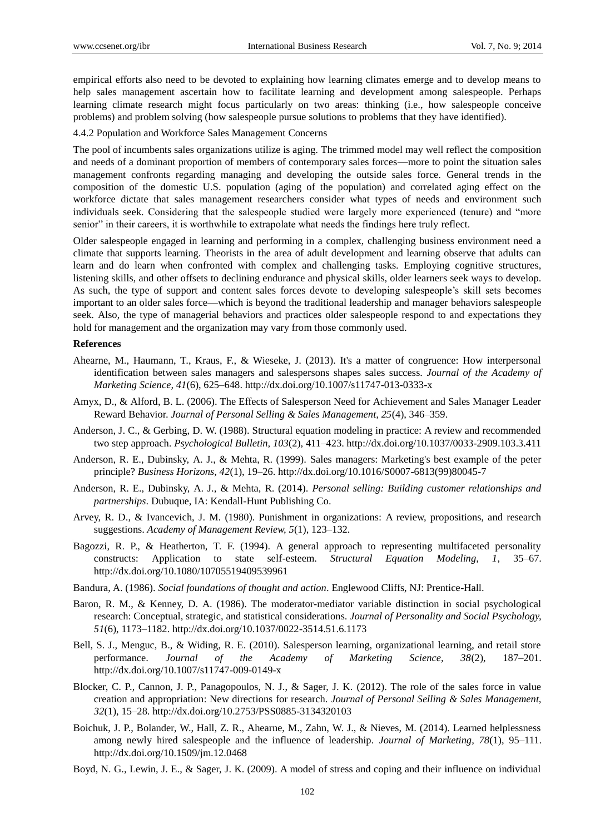empirical efforts also need to be devoted to explaining how learning climates emerge and to develop means to help sales management ascertain how to facilitate learning and development among salespeople. Perhaps learning climate research might focus particularly on two areas: thinking (i.e., how salespeople conceive problems) and problem solving (how salespeople pursue solutions to problems that they have identified).

4.4.2 Population and Workforce Sales Management Concerns

The pool of incumbents sales organizations utilize is aging. The trimmed model may well reflect the composition and needs of a dominant proportion of members of contemporary sales forces—more to point the situation sales management confronts regarding managing and developing the outside sales force. General trends in the composition of the domestic U.S. population (aging of the population) and correlated aging effect on the workforce dictate that sales management researchers consider what types of needs and environment such individuals seek. Considering that the salespeople studied were largely more experienced (tenure) and "more senior" in their careers, it is worthwhile to extrapolate what needs the findings here truly reflect.

Older salespeople engaged in learning and performing in a complex, challenging business environment need a climate that supports learning. Theorists in the area of adult development and learning observe that adults can learn and do learn when confronted with complex and challenging tasks. Employing cognitive structures, listening skills, and other offsets to declining endurance and physical skills, older learners seek ways to develop. As such, the type of support and content sales forces devote to developing salespeople's skill sets becomes important to an older sales force—which is beyond the traditional leadership and manager behaviors salespeople seek. Also, the type of managerial behaviors and practices older salespeople respond to and expectations they hold for management and the organization may vary from those commonly used.

#### **References**

- Ahearne, M., Haumann, T., Kraus, F., & Wieseke, J. (2013). It's a matter of congruence: How interpersonal identification between sales managers and salespersons shapes sales success. *Journal of the Academy of Marketing Science, 41*(6), 625–648. http://dx.doi.org/10.1007/s11747-013-0333-x
- Amyx, D., & Alford, B. L. (2006). The Effects of Salesperson Need for Achievement and Sales Manager Leader Reward Behavior. *Journal of Personal Selling & Sales Management, 25*(4), 346–359.
- Anderson, J. C., & Gerbing, D. W. (1988). Structural equation modeling in practice: A review and recommended two step approach. *Psychological Bulletin, 103*(2), 411–423. http://dx.doi.org/10.1037/0033-2909.103.3.411
- Anderson, R. E., Dubinsky, A. J., & Mehta, R. (1999). Sales managers: Marketing's best example of the peter principle? *Business Horizons, 42*(1), 19–26. http://dx.doi.org/10.1016/S0007-6813(99)80045-7
- Anderson, R. E., Dubinsky, A. J., & Mehta, R. (2014). *Personal selling: Building customer relationships and partnerships*. Dubuque, IA: Kendall-Hunt Publishing Co.
- Arvey, R. D., & Ivancevich, J. M. (1980). Punishment in organizations: A review, propositions, and research suggestions. *Academy of Management Review, 5*(1), 123–132.
- Bagozzi, R. P., & Heatherton, T. F. (1994). A general approach to representing multifaceted personality constructs: Application to state self-esteem. *Structural Equation Modeling, 1*, 35–67. http://dx.doi.org/10.1080/10705519409539961
- Bandura, A. (1986). *Social foundations of thought and action*. Englewood Cliffs, NJ: Prentice-Hall.
- Baron, R. M., & Kenney, D. A. (1986). The moderator-mediator variable distinction in social psychological research: Conceptual, strategic, and statistical considerations. *Journal of Personality and Social Psychology, 51*(6), 1173–1182. http://dx.doi.org/10.1037/0022-3514.51.6.1173
- Bell, S. J., Menguc, B., & Widing, R. E. (2010). Salesperson learning, organizational learning, and retail store performance. *Journal of the Academy of Marketing Science, 38*(2), 187–201. http://dx.doi.org/10.1007/s11747-009-0149-x
- Blocker, C. P., Cannon, J. P., Panagopoulos, N. J., & Sager, J. K. (2012). The role of the sales force in value creation and appropriation: New directions for research. *Journal of Personal Selling & Sales Management, 32*(1), 15–28. http://dx.doi.org/10.2753/PSS0885-3134320103
- Boichuk, J. P., Bolander, W., Hall, Z. R., Ahearne, M., Zahn, W. J., & Nieves, M. (2014). Learned helplessness among newly hired salespeople and the influence of leadership. *Journal of Marketing, 78*(1), 95–111. http://dx.doi.org/10.1509/jm.12.0468
- Boyd, N. G., Lewin, J. E., & Sager, J. K. (2009). A model of stress and coping and their influence on individual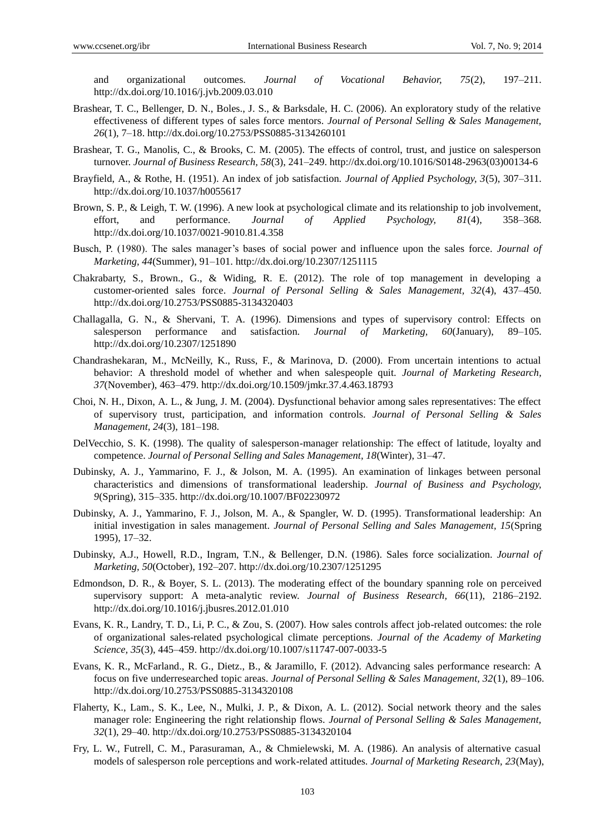and organizational outcomes. *Journal of Vocational Behavior, 75*(2), 197–211. http://dx.doi.org/10.1016/j.jvb.2009.03.010

- Brashear, T. C., Bellenger, D. N., Boles., J. S., & Barksdale, H. C. (2006). An exploratory study of the relative effectiveness of different types of sales force mentors. *Journal of Personal Selling & Sales Management, 26*(1), 7–18. http://dx.doi.org/10.2753/PSS0885-3134260101
- Brashear, T. G., Manolis, C., & Brooks, C. M. (2005). The effects of control, trust, and justice on salesperson turnover. *Journal of Business Research, 58*(3), 241–249. http://dx.doi.org/10.1016/S0148-2963(03)00134-6
- Brayfield, A., & Rothe, H. (1951). An index of job satisfaction. *Journal of Applied Psychology, 3*(5), 307–311. http://dx.doi.org/10.1037/h0055617
- Brown, S. P., & Leigh, T. W. (1996). A new look at psychological climate and its relationship to job involvement, effort, and performance. *Journal of Applied Psychology, 81*(4), 358–368. http://dx.doi.org/10.1037/0021-9010.81.4.358
- Busch, P. (1980). The sales manager's bases of social power and influence upon the sales force. *Journal of Marketing, 44*(Summer), 91–101. http://dx.doi.org/10.2307/1251115
- Chakrabarty, S., Brown., G., & Widing, R. E. (2012). The role of top management in developing a customer-oriented sales force. *Journal of Personal Selling & Sales Management, 32*(4), 437–450. http://dx.doi.org/10.2753/PSS0885-3134320403
- Challagalla, G. N., & Shervani, T. A. (1996). Dimensions and types of supervisory control: Effects on salesperson performance and satisfaction. *Journal of Marketing, 60*(January), 89–105. http://dx.doi.org/10.2307/1251890
- Chandrashekaran, M., McNeilly, K., Russ, F., & Marinova, D. (2000). From uncertain intentions to actual behavior: A threshold model of whether and when salespeople quit. *Journal of Marketing Research, 37*(November), 463–479. http://dx.doi.org/10.1509/jmkr.37.4.463.18793
- Choi, N. H., Dixon, A. L., & Jung, J. M. (2004). Dysfunctional behavior among sales representatives: The effect of supervisory trust, participation, and information controls. *Journal of Personal Selling & Sales Management, 24*(3), 181–198.
- DelVecchio, S. K. (1998). The quality of salesperson-manager relationship: The effect of latitude, loyalty and competence. *Journal of Personal Selling and Sales Management, 18*(Winter), 31–47.
- Dubinsky, A. J., Yammarino, F. J., & Jolson, M. A. (1995). An examination of linkages between personal characteristics and dimensions of transformational leadership. *Journal of Business and Psychology, 9*(Spring), 315–335. http://dx.doi.org/10.1007/BF02230972
- Dubinsky, A. J., Yammarino, F. J., Jolson, M. A., & Spangler, W. D. (1995). Transformational leadership: An initial investigation in sales management. *Journal of Personal Selling and Sales Management, 15*(Spring 1995), 17–32.
- Dubinsky, A.J., Howell, R.D., Ingram, T.N., & Bellenger, D.N. (1986). Sales force socialization. *Journal of Marketing, 50*(October), 192–207. http://dx.doi.org/10.2307/1251295
- Edmondson, D. R., & Boyer, S. L. (2013). The moderating effect of the boundary spanning role on perceived supervisory support: A meta-analytic review. *Journal of Business Research, 66*(11), 2186–2192. http://dx.doi.org/10.1016/j.jbusres.2012.01.010
- Evans, K. R., Landry, T. D., Li, P. C., & Zou, S. (2007). How sales controls affect job-related outcomes: the role of organizational sales-related psychological climate perceptions. *Journal of the Academy of Marketing Science, 35*(3), 445–459. http://dx.doi.org/10.1007/s11747-007-0033-5
- Evans, K. R., McFarland., R. G., Dietz., B., & Jaramillo, F. (2012). Advancing sales performance research: A focus on five underresearched topic areas. *Journal of Personal Selling & Sales Management, 32*(1), 89–106. http://dx.doi.org/10.2753/PSS0885-3134320108
- Flaherty, K., Lam., S. K., Lee, N., Mulki, J. P., & Dixon, A. L. (2012). Social network theory and the sales manager role: Engineering the right relationship flows. *Journal of Personal Selling & Sales Management, 32*(1), 29–40. http://dx.doi.org/10.2753/PSS0885-3134320104
- Fry, L. W., Futrell, C. M., Parasuraman, A., & Chmielewski, M. A. (1986). An analysis of alternative casual models of salesperson role perceptions and work-related attitudes. *Journal of Marketing Research, 23*(May),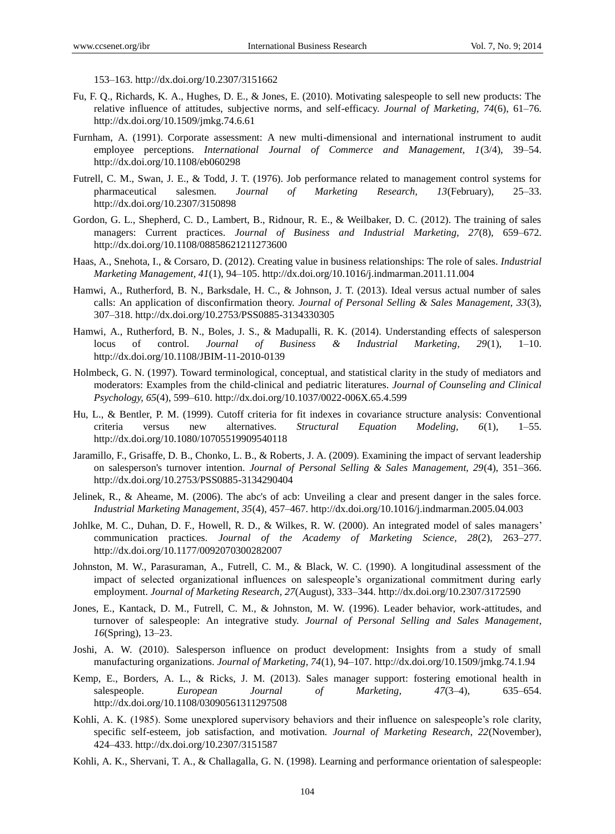153–163. http://dx.doi.org/10.2307/3151662

- Fu, F. Q., Richards, K. A., Hughes, D. E., & Jones, E. (2010). Motivating salespeople to sell new products: The relative influence of attitudes, subjective norms, and self-efficacy. *Journal of Marketing, 74*(6), 61–76. http://dx.doi.org/10.1509/jmkg.74.6.61
- Furnham, A. (1991). Corporate assessment: A new multi-dimensional and international instrument to audit employee perceptions. *International Journal of Commerce and Management, 1*(3/4), 39–54. http://dx.doi.org/10.1108/eb060298
- Futrell, C. M., Swan, J. E., & Todd, J. T. (1976). Job performance related to management control systems for pharmaceutical salesmen. *Journal of Marketing Research, 13*(February), 25–33. http://dx.doi.org/10.2307/3150898
- Gordon, G. L., Shepherd, C. D., Lambert, B., Ridnour, R. E., & Weilbaker, D. C. (2012). The training of sales managers: Current practices. *Journal of Business and Industrial Marketing, 27*(8), 659–672. http://dx.doi.org/10.1108/08858621211273600
- Haas, A., Snehota, I., & Corsaro, D. (2012). Creating value in business relationships: The role of sales. *Industrial Marketing Management, 41*(1), 94–105. http://dx.doi.org/10.1016/j.indmarman.2011.11.004
- Hamwi, A., Rutherford, B. N., Barksdale, H. C., & Johnson, J. T. (2013). Ideal versus actual number of sales calls: An application of disconfirmation theory. *Journal of Personal Selling & Sales Management, 33*(3), 307–318. http://dx.doi.org/10.2753/PSS0885-3134330305
- Hamwi, A., Rutherford, B. N., Boles, J. S., & Madupalli, R. K. (2014). Understanding effects of salesperson locus of control. *Journal of Business & Industrial Marketing, 29*(1), 1–10. http://dx.doi.org/10.1108/JBIM-11-2010-0139
- Holmbeck, G. N. (1997). Toward terminological, conceptual, and statistical clarity in the study of mediators and moderators: Examples from the child-clinical and pediatric literatures. *Journal of Counseling and Clinical Psychology, 65*(4), 599–610. http://dx.doi.org/10.1037/0022-006X.65.4.599
- Hu, L., & Bentler, P. M. (1999). Cutoff criteria for fit indexes in covariance structure analysis: Conventional criteria versus new alternatives. *Structural Equation Modeling, 6*(1), 1–55. http://dx.doi.org/10.1080/10705519909540118
- Jaramillo, F., Grisaffe, D. B., Chonko, L. B., & Roberts, J. A. (2009). Examining the impact of servant leadership on salesperson's turnover intention. *Journal of Personal Selling & Sales Management, 29*(4), 351–366. http://dx.doi.org/10.2753/PSS0885-3134290404
- Jelinek, R., & Aheame, M. (2006). The abc's of acb: Unveiling a clear and present danger in the sales force. *Industrial Marketing Management, 35*(4), 457–467. http://dx.doi.org/10.1016/j.indmarman.2005.04.003
- Johlke, M. C., Duhan, D. F., Howell, R. D., & Wilkes, R. W. (2000). An integrated model of sales managers' communication practices*. Journal of the Academy of Marketing Science, 28*(2), 263–277. http://dx.doi.org/10.1177/0092070300282007
- Johnston, M. W., Parasuraman, A., Futrell, C. M., & Black, W. C. (1990). A longitudinal assessment of the impact of selected organizational influences on salespeople's organizational commitment during early employment. *Journal of Marketing Research, 27*(August), 333–344. http://dx.doi.org/10.2307/3172590
- Jones, E., Kantack, D. M., Futrell, C. M., & Johnston, M. W. (1996). Leader behavior, work-attitudes, and turnover of salespeople: An integrative study. *Journal of Personal Selling and Sales Management*, *16*(Spring), 13–23.
- Joshi, A. W. (2010). Salesperson influence on product development: Insights from a study of small manufacturing organizations. *Journal of Marketing, 74*(1), 94–107. http://dx.doi.org/10.1509/jmkg.74.1.94
- Kemp, E., Borders, A. L., & Ricks, J. M. (2013). Sales manager support: fostering emotional health in salespeople. *European Journal of Marketing, 47*(3–4), 635–654. http://dx.doi.org/10.1108/03090561311297508
- Kohli, A. K. (1985). Some unexplored supervisory behaviors and their influence on salespeople's role clarity, specific self-esteem, job satisfaction, and motivation. *Journal of Marketing Research, 22*(November), 424–433. http://dx.doi.org/10.2307/3151587
- Kohli, A. K., Shervani, T. A., & Challagalla, G. N. (1998). Learning and performance orientation of salespeople: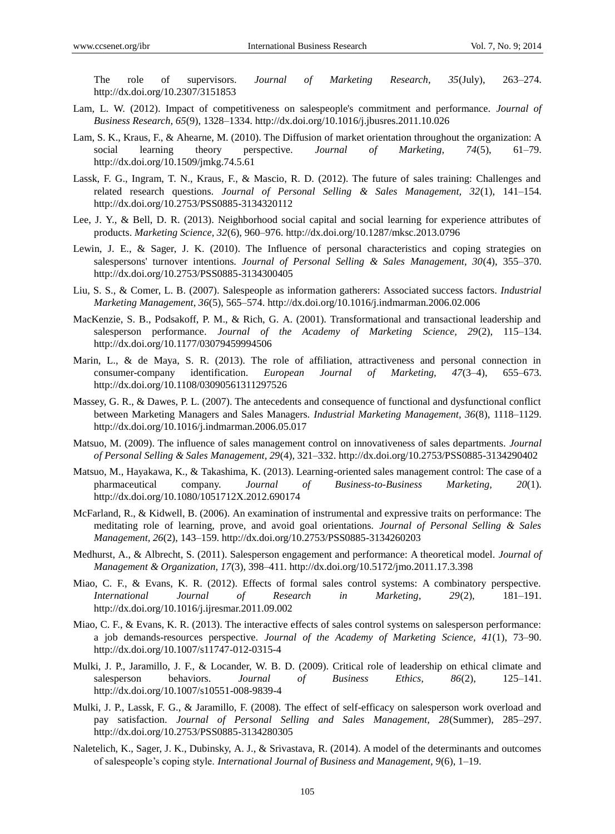The role of supervisors. *Journal of Marketing Research, 35*(July), 263–274. http://dx.doi.org/10.2307/3151853

- Lam, L. W. (2012). Impact of competitiveness on salespeople's commitment and performance. *Journal of Business Research, 65*(9), 1328–1334. http://dx.doi.org/10.1016/j.jbusres.2011.10.026
- Lam, S. K., Kraus, F., & Ahearne, M. (2010). The Diffusion of market orientation throughout the organization: A social learning theory perspective. *Journal of Marketing, 74*(5), 61–79. http://dx.doi.org/10.1509/jmkg.74.5.61
- Lassk, F. G., Ingram, T. N., Kraus, F., & Mascio, R. D. (2012). The future of sales training: Challenges and related research questions. *Journal of Personal Selling & Sales Management, 32*(1), 141–154. http://dx.doi.org/10.2753/PSS0885-3134320112
- Lee, J. Y., & Bell, D. R. (2013). Neighborhood social capital and social learning for experience attributes of products. *Marketing Science, 32*(6), 960–976. http://dx.doi.org/10.1287/mksc.2013.0796
- Lewin, J. E., & Sager, J. K. (2010). The Influence of personal characteristics and coping strategies on salespersons' turnover intentions. *Journal of Personal Selling & Sales Management, 30*(4), 355–370. http://dx.doi.org/10.2753/PSS0885-3134300405
- Liu, S. S., & Comer, L. B. (2007). Salespeople as information gatherers: Associated success factors. *Industrial Marketing Management, 36*(5), 565–574. http://dx.doi.org/10.1016/j.indmarman.2006.02.006
- MacKenzie, S. B., Podsakoff, P. M., & Rich, G. A. (2001). Transformational and transactional leadership and salesperson performance. *Journal of the Academy of Marketing Science, 29*(2), 115–134. http://dx.doi.org/10.1177/03079459994506
- Marin, L., & de Maya, S. R. (2013). The role of affiliation, attractiveness and personal connection in consumer-company identification. *European Journal of Marketing, 47*(3–4), 655–673. http://dx.doi.org/10.1108/03090561311297526
- Massey, G. R., & Dawes, P. L. (2007). The antecedents and consequence of functional and dysfunctional conflict between Marketing Managers and Sales Managers. *Industrial Marketing Management, 36*(8), 1118–1129. http://dx.doi.org/10.1016/j.indmarman.2006.05.017
- Matsuo, M. (2009). The influence of sales management control on innovativeness of sales departments. *Journal of Personal Selling & Sales Management, 29*(4), 321–332. http://dx.doi.org/10.2753/PSS0885-3134290402
- Matsuo, M., Hayakawa, K., & Takashima, K. (2013). Learning-oriented sales management control: The case of a pharmaceutical company. *Journal of Business-to-Business Marketing, 20*(1). http://dx.doi.org/10.1080/1051712X.2012.690174
- McFarland, R., & Kidwell, B. (2006). An examination of instrumental and expressive traits on performance: The meditating role of learning, prove, and avoid goal orientations. *Journal of Personal Selling & Sales Management, 26*(2), 143–159. http://dx.doi.org/10.2753/PSS0885-3134260203
- Medhurst, A., & Albrecht, S. (2011). Salesperson engagement and performance: A theoretical model. *Journal of Management & Organization, 17*(3), 398–411. http://dx.doi.org/10.5172/jmo.2011.17.3.398
- Miao, C. F., & Evans, K. R. (2012). Effects of formal sales control systems: A combinatory perspective. *International Journal of Research in Marketing, 29*(2), 181–191. http://dx.doi.org/10.1016/j.ijresmar.2011.09.002
- Miao, C. F., & Evans, K. R. (2013). The interactive effects of sales control systems on salesperson performance: a job demands-resources perspective. *Journal of the Academy of Marketing Science, 41*(1), 73–90. http://dx.doi.org/10.1007/s11747-012-0315-4
- Mulki, J. P., Jaramillo, J. F., & Locander, W. B. D. (2009). Critical role of leadership on ethical climate and salesperson behaviors. *Journal of Business Ethics, 86*(2), 125–141. http://dx.doi.org/10.1007/s10551-008-9839-4
- Mulki, J. P., Lassk, F. G., & Jaramillo, F. (2008). The effect of self-efficacy on salesperson work overload and pay satisfaction. *Journal of Personal Selling and Sales Management, 28*(Summer), 285–297. http://dx.doi.org/10.2753/PSS0885-3134280305
- Naletelich, K., Sager, J. K., Dubinsky, A. J., & Srivastava, R. (2014). A model of the determinants and outcomes of salespeople's coping style. *International Journal of Business and Management, 9*(6), 1–19.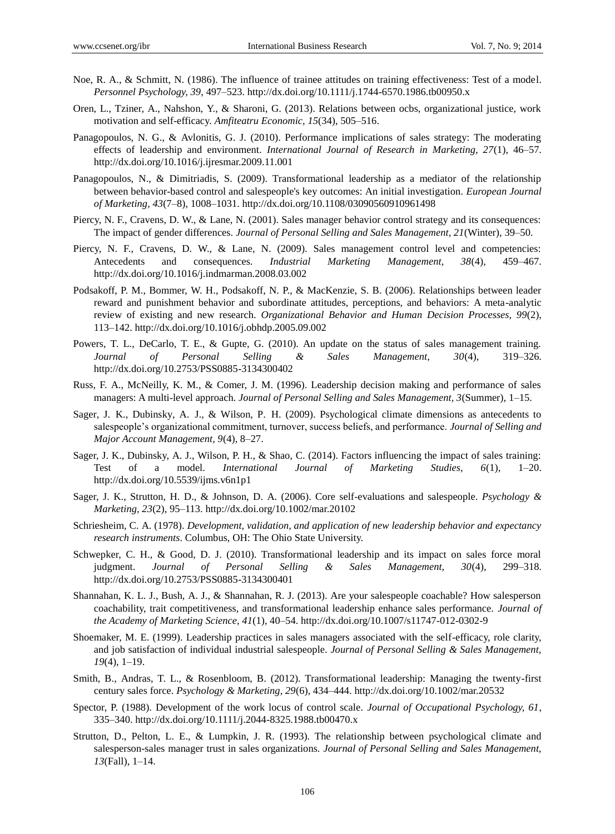- Noe, R. A., & Schmitt, N. (1986). The influence of trainee attitudes on training effectiveness: Test of a model. *Personnel Psychology, 39*, 497–523. http://dx.doi.org/10.1111/j.1744-6570.1986.tb00950.x
- Oren, L., Tziner, A., Nahshon, Y., & Sharoni, G. (2013). Relations between ocbs, organizational justice, work motivation and self-efficacy. *Amfiteatru Economic, 15*(34), 505–516.
- Panagopoulos, N. G., & Avlonitis, G. J. (2010). Performance implications of sales strategy: The moderating effects of leadership and environment. *International Journal of Research in Marketing, 27*(1), 46–57. http://dx.doi.org/10.1016/j.ijresmar.2009.11.001
- Panagopoulos, N., & Dimitriadis, S. (2009). Transformational leadership as a mediator of the relationship between behavior-based control and salespeople's key outcomes: An initial investigation. *European Journal of Marketing, 43*(7–8), 1008–1031. http://dx.doi.org/10.1108/03090560910961498
- Piercy, N. F., Cravens, D. W., & Lane, N. (2001). Sales manager behavior control strategy and its consequences: The impact of gender differences. *Journal of Personal Selling and Sales Management, 21*(Winter), 39–50.
- Piercy, N. F., Cravens, D. W., & Lane, N. (2009). Sales management control level and competencies: Antecedents and consequences. *Industrial Marketing Management, 38*(4), 459–467. http://dx.doi.org/10.1016/j.indmarman.2008.03.002
- Podsakoff, P. M., Bommer, W. H., Podsakoff, N. P., & MacKenzie, S. B. (2006). Relationships between leader reward and punishment behavior and subordinate attitudes, perceptions, and behaviors: A meta-analytic review of existing and new research. *Organizational Behavior and Human Decision Processes, 99*(2), 113–142. http://dx.doi.org/10.1016/j.obhdp.2005.09.002
- Powers, T. L., DeCarlo, T. E., & Gupte, G. (2010). An update on the status of sales management training. *Journal of Personal Selling & Sales Management, 30*(4), 319–326. http://dx.doi.org/10.2753/PSS0885-3134300402
- Russ, F. A., McNeilly, K. M., & Comer, J. M. (1996). Leadership decision making and performance of sales managers: A multi-level approach. *Journal of Personal Selling and Sales Management, 3*(Summer), 1–15.
- Sager, J. K., Dubinsky, A. J., & Wilson, P. H. (2009). Psychological climate dimensions as antecedents to salespeople's organizational commitment, turnover, success beliefs, and performance. *Journal of Selling and Major Account Management, 9*(4), 8–27.
- Sager, J. K., Dubinsky, A. J., Wilson, P. H., & Shao, C. (2014). Factors influencing the impact of sales training: Test of a model. *International Journal of Marketing Studies, 6*(1), 1–20. http://dx.doi.org/10.5539/ijms.v6n1p1
- Sager, J. K., Strutton, H. D., & Johnson, D. A. (2006). Core self-evaluations and salespeople. *Psychology & Marketing, 23*(2), 95–113. http://dx.doi.org/10.1002/mar.20102
- Schriesheim, C. A. (1978). *Development, validation, and application of new leadership behavior and expectancy research instruments*. Columbus, OH: The Ohio State University.
- Schwepker, C. H., & Good, D. J. (2010). Transformational leadership and its impact on sales force moral judgment. *Journal of Personal Selling & Sales Management, 30*(4), 299–318. http://dx.doi.org/10.2753/PSS0885-3134300401
- Shannahan, K. L. J., Bush, A. J., & Shannahan, R. J. (2013). Are your salespeople coachable? How salesperson coachability, trait competitiveness, and transformational leadership enhance sales performance. *Journal of the Academy of Marketing Science, 41*(1), 40–54. http://dx.doi.org/10.1007/s11747-012-0302-9
- Shoemaker, M. E. (1999). Leadership practices in sales managers associated with the self-efficacy, role clarity, and job satisfaction of individual industrial salespeople. *Journal of Personal Selling & Sales Management, 19*(4), 1–19.
- Smith, B., Andras, T. L., & Rosenbloom, B. (2012). Transformational leadership: Managing the twenty-first century sales force. *Psychology & Marketing, 29*(6), 434–444. http://dx.doi.org/10.1002/mar.20532
- Spector, P. (1988). Development of the work locus of control scale. *Journal of Occupational Psychology, 61*, 335–340. http://dx.doi.org/10.1111/j.2044-8325.1988.tb00470.x
- Strutton, D., Pelton, L. E., & Lumpkin, J. R. (1993). The relationship between psychological climate and salesperson-sales manager trust in sales organizations. *Journal of Personal Selling and Sales Management, 13*(Fall), 1–14.